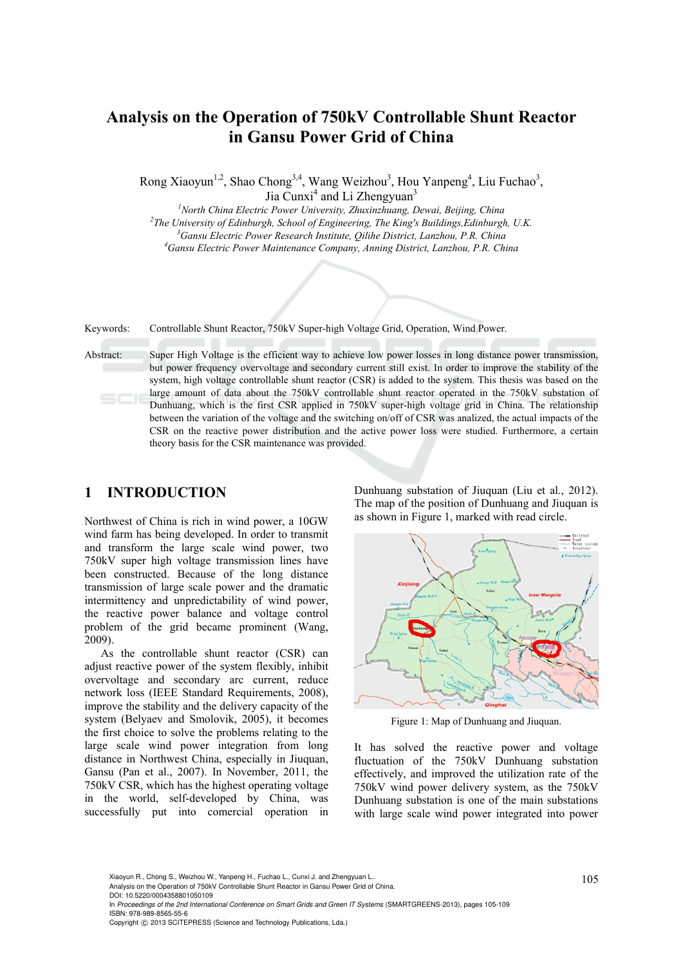# **Analysis on the Operation of 750kV Controllable Shunt Reactor in Gansu Power Grid of China**

Rong Xiaoyun<sup>1,2</sup>, Shao Chong<sup>3,4</sup>, Wang Weizhou<sup>3</sup>, Hou Yanpeng<sup>4</sup>, Liu Fuchao<sup>3</sup>, Jia Cunxi<sup>4</sup> and Li Zhengyuan<sup>3</sup>

*1 North China Electric Power University, Zhuxinzhuang, Dewai, Beijing, China 2* <sup>2</sup>The University of Edinburgh, School of Engineering, The King's Buildings, Edinburgh, U.K. <sup>3</sup> Gansu Electric Power Research Institute, Oilihe District, Lanzhou, P.R. China <sup>4</sup> Gansu Electric Power Maintenance Company, Anning District, Lanzhou, P.R. China

Keywords: Controllable Shunt Reactor, 750kV Super-high Voltage Grid, Operation, Wind Power.

Abstract: Super High Voltage is the efficient way to achieve low power losses in long distance power transmission, but power frequency overvoltage and secondary current still exist. In order to improve the stability of the system, high voltage controllable shunt reactor (CSR) is added to the system. This thesis was based on the large amount of data about the 750kV controllable shunt reactor operated in the 750kV substation of Dunhuang, which is the first CSR applied in 750kV super-high voltage grid in China. The relationship between the variation of the voltage and the switching on/off of CSR was analized, the actual impacts of the CSR on the reactive power distribution and the active power loss were studied. Furthermore, a certain theory basis for the CSR maintenance was provided.

### **1 INTRODUCTION**

Northwest of China is rich in wind power, a 10GW wind farm has being developed. In order to transmit and transform the large scale wind power, two 750kV super high voltage transmission lines have been constructed. Because of the long distance transmission of large scale power and the dramatic intermittency and unpredictability of wind power, the reactive power balance and voltage control problem of the grid became prominent (Wang, 2009).

As the controllable shunt reactor (CSR) can adjust reactive power of the system flexibly, inhibit overvoltage and secondary arc current, reduce network loss (IEEE Standard Requirements, 2008), improve the stability and the delivery capacity of the system (Belyaev and Smolovik, 2005), it becomes the first choice to solve the problems relating to the large scale wind power integration from long distance in Northwest China, especially in Jiuquan, Gansu (Pan et al., 2007). In November, 2011, the 750kV CSR, which has the highest operating voltage in the world, self-developed by China, was successfully put into comercial operation in

Dunhuang substation of Jiuquan (Liu et al., 2012). The map of the position of Dunhuang and Jiuquan is as shown in Figure 1, marked with read circle.



Figure 1: Map of Dunhuang and Jiuquan.

It has solved the reactive power and voltage fluctuation of the 750kV Dunhuang substation effectively, and improved the utilization rate of the 750kV wind power delivery system, as the 750kV Dunhuang substation is one of the main substations with large scale wind power integrated into power

Xiaoyun R., Chong S., Weizhou W., Yanpeng H., Fuchao L., Cunxi J. and Zhengyuan L..<br>Analysis on the Operation of 750kV Controllable Shunt Reactor in Gansu Power Grid of China. DOI: 10.5220/0004358801050109 In *Proceedings of the 2nd International Conference on Smart Grids and Green IT Systems* (SMARTGREENS-2013), pages 105-109 ISBN: 978-989-8565-55-6 Copyright © 2013 SCITEPRESS (Science and Technology Publications, Lda.)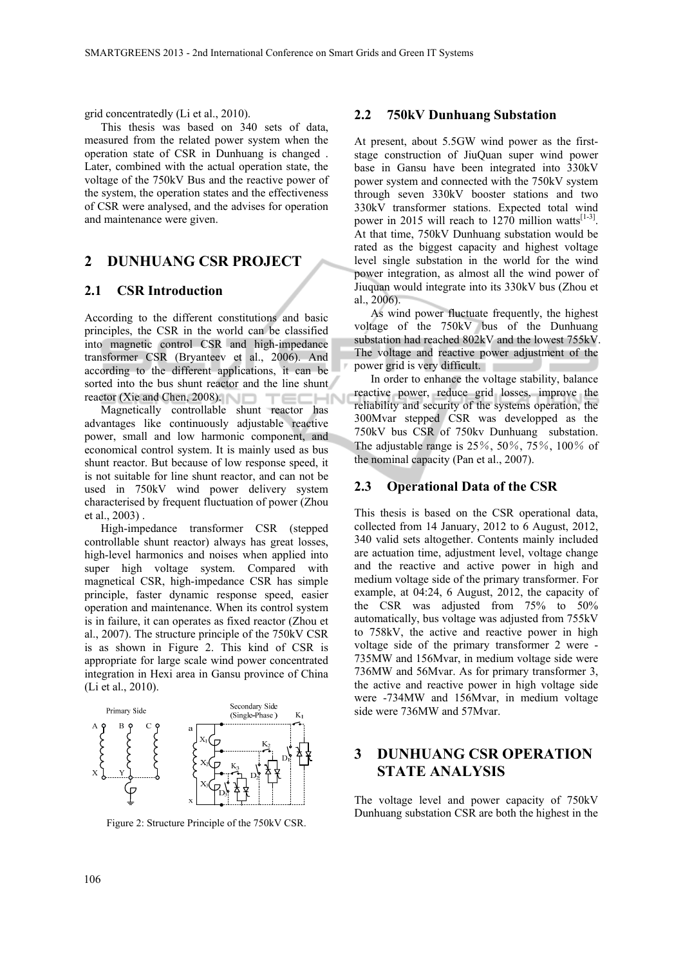grid concentratedly (Li et al., 2010).

This thesis was based on 340 sets of data, measured from the related power system when the operation state of CSR in Dunhuang is changed . Later, combined with the actual operation state, the voltage of the 750kV Bus and the reactive power of the system, the operation states and the effectiveness of CSR were analysed, and the advises for operation and maintenance were given.

## **2 DUNHUANG CSR PROJECT**

#### **2.1 CSR Introduction**

According to the different constitutions and basic principles, the CSR in the world can be classified into magnetic control CSR and high-impedance transformer CSR (Bryanteev et al., 2006). And according to the different applications, it can be sorted into the bus shunt reactor and the line shunt reactor (Xie and Chen, 2008). **IHN** TEC

Magnetically controllable shunt reactor has advantages like continuously adjustable reactive power, small and low harmonic component, and economical control system. It is mainly used as bus shunt reactor. But because of low response speed, it is not suitable for line shunt reactor, and can not be used in 750kV wind power delivery system characterised by frequent fluctuation of power (Zhou et al., 2003) .

High-impedance transformer CSR (stepped controllable shunt reactor) always has great losses, high-level harmonics and noises when applied into super high voltage system. Compared with magnetical CSR, high-impedance CSR has simple principle, faster dynamic response speed, easier operation and maintenance. When its control system is in failure, it can operates as fixed reactor (Zhou et al., 2007). The structure principle of the 750kV CSR is as shown in Figure 2. This kind of CSR is appropriate for large scale wind power concentrated integration in Hexi area in Gansu province of China (Li et al., 2010).



Figure 2: Structure Principle of the 750kV CSR.

#### **2.2 750kV Dunhuang Substation**

At present, about 5.5GW wind power as the firststage construction of JiuQuan super wind power base in Gansu have been integrated into 330kV power system and connected with the 750kV system through seven 330kV booster stations and two 330kV transformer stations. Expected total wind power in 2015 will reach to 1270 million watts $^{[1-3]}$ . At that time, 750kV Dunhuang substation would be rated as the biggest capacity and highest voltage level single substation in the world for the wind power integration, as almost all the wind power of Jiuquan would integrate into its 330kV bus (Zhou et al.,  $2006$ ).

As wind power fluctuate frequently, the highest voltage of the 750kV bus of the Dunhuang substation had reached 802kV and the lowest 755kV. The voltage and reactive power adjustment of the power grid is very difficult.

In order to enhance the voltage stability, balance reactive power, reduce grid losses, improve the reliability and security of the systems operation, the 300Mvar stepped CSR was developped as the 750kV bus CSR of 750kv Dunhuang substation. The adjustable range is 25%, 50%, 75%, 100% of the nominal capacity (Pan et al., 2007).

#### **2.3 Operational Data of the CSR**

This thesis is based on the CSR operational data, collected from 14 January, 2012 to 6 August, 2012, 340 valid sets altogether. Contents mainly included are actuation time, adjustment level, voltage change and the reactive and active power in high and medium voltage side of the primary transformer. For example, at 04:24, 6 August, 2012, the capacity of the CSR was adjusted from 75% to 50% automatically, bus voltage was adjusted from 755kV to 758kV, the active and reactive power in high voltage side of the primary transformer 2 were - 735MW and 156Mvar, in medium voltage side were 736MW and 56Mvar. As for primary transformer 3, the active and reactive power in high voltage side were -734MW and 156Mvar, in medium voltage side were 736MW and 57Mvar.

# **3 DUNHUANG CSR OPERATION STATE ANALYSIS**

The voltage level and power capacity of 750kV Dunhuang substation CSR are both the highest in the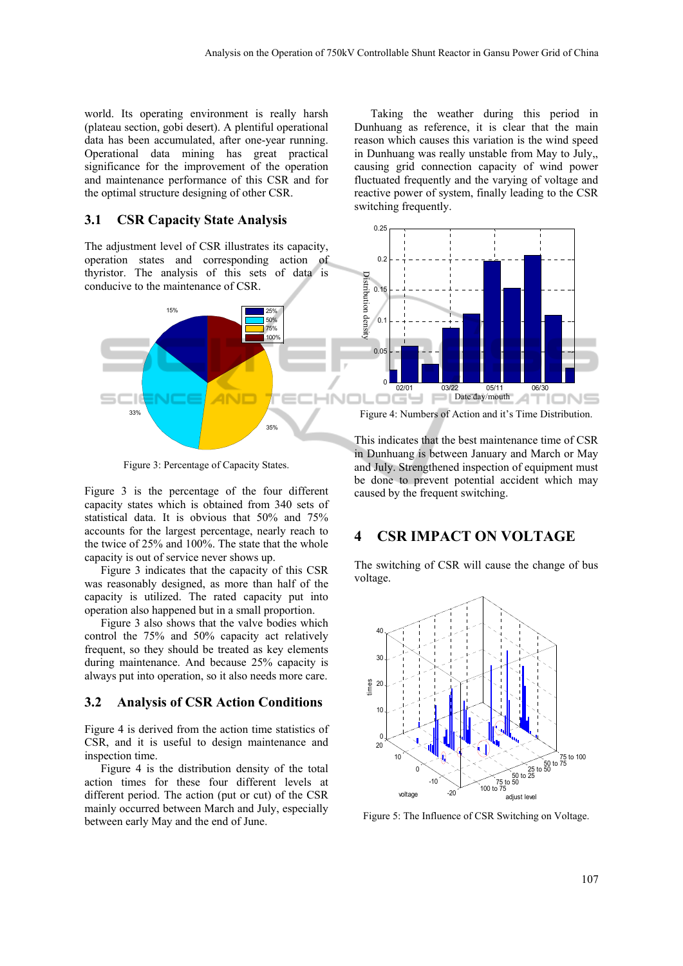world. Its operating environment is really harsh (plateau section, gobi desert). A plentiful operational data has been accumulated, after one-year running. Operational data mining has great practical significance for the improvement of the operation and maintenance performance of this CSR and for the optimal structure designing of other CSR.

#### **3.1 CSR Capacity State Analysis**

The adjustment level of CSR illustrates its capacity, operation states and corresponding action of thyristor. The analysis of this sets of data is conducive to the maintenance of CSR.



Figure 3: Percentage of Capacity States.

Figure 3 is the percentage of the four different capacity states which is obtained from 340 sets of statistical data. It is obvious that 50% and 75% accounts for the largest percentage, nearly reach to the twice of 25% and 100%. The state that the whole capacity is out of service never shows up.

Figure 3 indicates that the capacity of this CSR was reasonably designed, as more than half of the capacity is utilized. The rated capacity put into operation also happened but in a small proportion.

Figure 3 also shows that the valve bodies which control the 75% and 50% capacity act relatively frequent, so they should be treated as key elements during maintenance. And because 25% capacity is always put into operation, so it also needs more care.

## **3.2 Analysis of CSR Action Conditions**

Figure 4 is derived from the action time statistics of CSR, and it is useful to design maintenance and inspection time.

Figure 4 is the distribution density of the total action times for these four different levels at different period. The action (put or cut) of the CSR mainly occurred between March and July, especially between early May and the end of June.

Taking the weather during this period in Dunhuang as reference, it is clear that the main reason which causes this variation is the wind speed in Dunhuang was really unstable from May to July,, causing grid connection capacity of wind power fluctuated frequently and the varying of voltage and reactive power of system, finally leading to the CSR switching frequently.



Figure 4: Numbers of Action and it's Time Distribution.

This indicates that the best maintenance time of CSR in Dunhuang is between January and March or May and July. Strengthened inspection of equipment must be done to prevent potential accident which may caused by the frequent switching.

### **4 CSR IMPACT ON VOLTAGE**

The switching of CSR will cause the change of bus voltage.

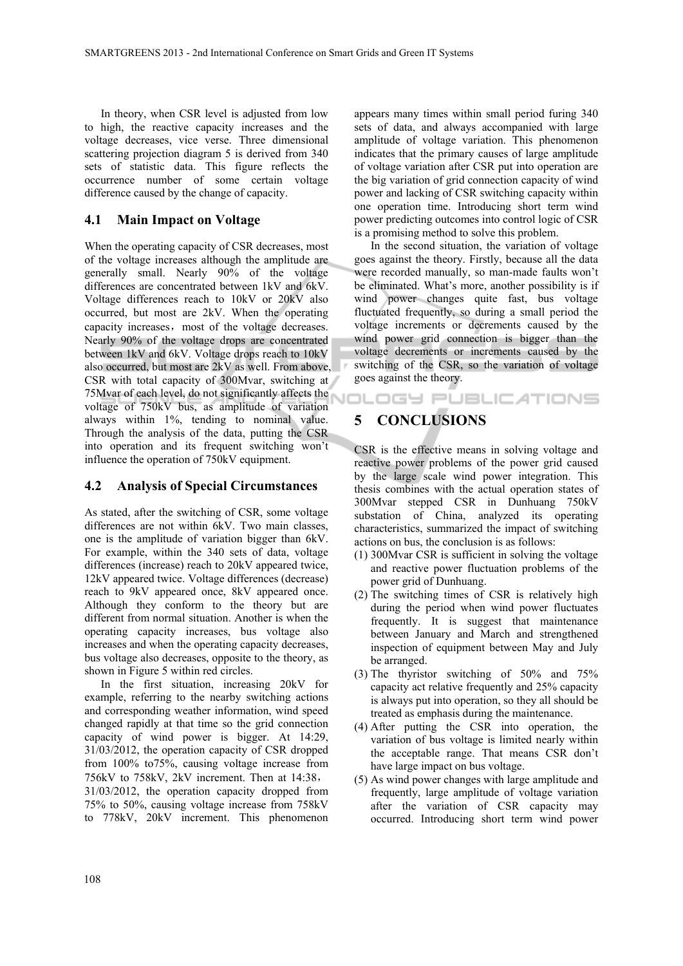In theory, when CSR level is adjusted from low to high, the reactive capacity increases and the voltage decreases, vice verse. Three dimensional scattering projection diagram 5 is derived from 340 sets of statistic data. This figure reflects the occurrence number of some certain voltage difference caused by the change of capacity.

#### **4.1 Main Impact on Voltage**

When the operating capacity of CSR decreases, most of the voltage increases although the amplitude are generally small. Nearly 90% of the voltage differences are concentrated between 1kV and 6kV. Voltage differences reach to 10kV or 20kV also occurred, but most are 2kV. When the operating capacity increases, most of the voltage decreases. Nearly 90% of the voltage drops are concentrated between 1kV and 6kV. Voltage drops reach to 10kV also occurred, but most are 2kV as well. From above, CSR with total capacity of 300Mvar, switching at 75Mvar of each level, do not significantly affects the voltage of 750kV bus, as amplitude of variation always within 1%, tending to nominal value. Through the analysis of the data, putting the CSR into operation and its frequent switching won't influence the operation of 750kV equipment.

#### **4.2 Analysis of Special Circumstances**

As stated, after the switching of CSR, some voltage differences are not within 6kV. Two main classes, one is the amplitude of variation bigger than 6kV. For example, within the 340 sets of data, voltage differences (increase) reach to 20kV appeared twice, 12kV appeared twice. Voltage differences (decrease) reach to 9kV appeared once, 8kV appeared once. Although they conform to the theory but are different from normal situation. Another is when the operating capacity increases, bus voltage also increases and when the operating capacity decreases, bus voltage also decreases, opposite to the theory, as shown in Figure 5 within red circles.

In the first situation, increasing 20kV for example, referring to the nearby switching actions and corresponding weather information, wind speed changed rapidly at that time so the grid connection capacity of wind power is bigger. At 14:29, 31/03/2012, the operation capacity of CSR dropped from 100% to75%, causing voltage increase from 756kV to 758kV, 2kV increment. Then at 14:38, 31/03/2012, the operation capacity dropped from 75% to 50%, causing voltage increase from 758kV to 778kV, 20kV increment. This phenomenon

appears many times within small period furing 340 sets of data, and always accompanied with large amplitude of voltage variation. This phenomenon indicates that the primary causes of large amplitude of voltage variation after CSR put into operation are the big variation of grid connection capacity of wind power and lacking of CSR switching capacity within one operation time. Introducing short term wind power predicting outcomes into control logic of CSR is a promising method to solve this problem.

In the second situation, the variation of voltage goes against the theory. Firstly, because all the data were recorded manually, so man-made faults won't be eliminated. What's more, another possibility is if wind power changes quite fast, bus voltage fluctuated frequently, so during a small period the voltage increments or decrements caused by the wind power grid connection is bigger than the voltage decrements or increments caused by the switching of the CSR, so the variation of voltage goes against the theory.

# **5 CONCLUSIONS**

CSR is the effective means in solving voltage and reactive power problems of the power grid caused by the large scale wind power integration. This thesis combines with the actual operation states of 300Mvar stepped CSR in Dunhuang 750kV substation of China, analyzed its operating characteristics, summarized the impact of switching actions on bus, the conclusion is as follows:

- (1) 300Mvar CSR is sufficient in solving the voltage and reactive power fluctuation problems of the power grid of Dunhuang.
- (2) The switching times of CSR is relatively high during the period when wind power fluctuates frequently. It is suggest that maintenance between January and March and strengthened inspection of equipment between May and July be arranged.
- (3) The thyristor switching of 50% and 75% capacity act relative frequently and 25% capacity is always put into operation, so they all should be treated as emphasis during the maintenance.
- (4) After putting the CSR into operation, the variation of bus voltage is limited nearly within the acceptable range. That means CSR don't have large impact on bus voltage.
- (5) As wind power changes with large amplitude and frequently, large amplitude of voltage variation after the variation of CSR capacity may occurred. Introducing short term wind power